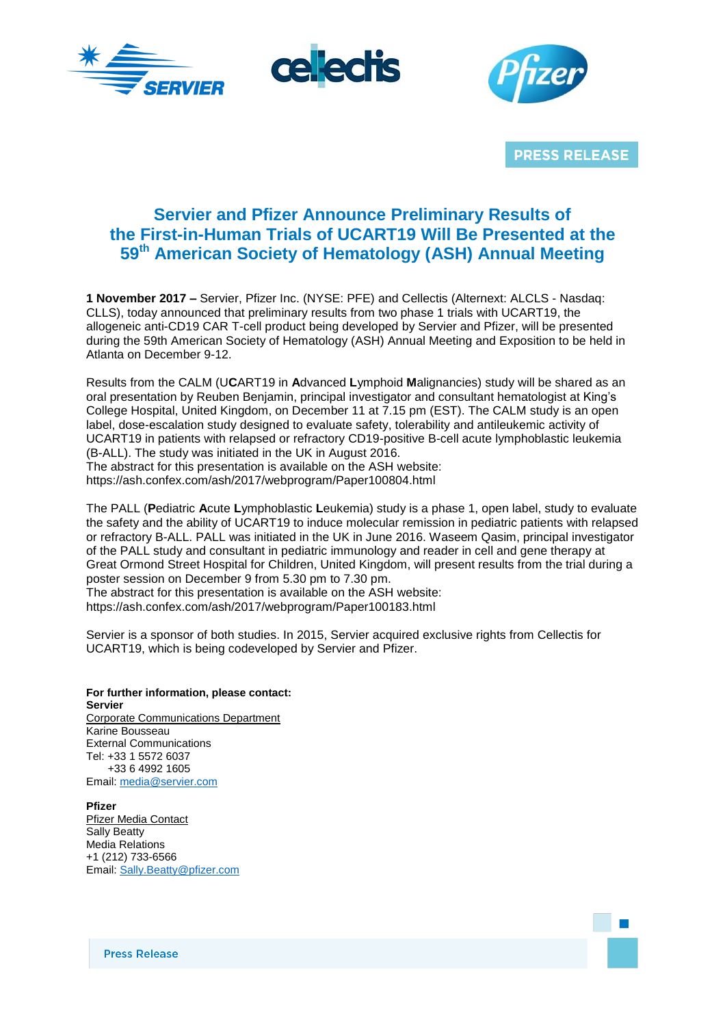





**PRESS RELEASE** 

# **Servier and Pfizer Announce Preliminary Results of the First-in-Human Trials of UCART19 Will Be Presented at the 59th American Society of Hematology (ASH) Annual Meeting**

**1 November 2017 –** Servier, Pfizer Inc. (NYSE: PFE) and Cellectis (Alternext: ALCLS - Nasdaq: CLLS), today announced that preliminary results from two phase 1 trials with UCART19, the allogeneic anti-CD19 CAR T-cell product being developed by Servier and Pfizer, will be presented during the 59th American Society of Hematology (ASH) Annual Meeting and Exposition to be held in Atlanta on December 9-12.

Results from the CALM (U**C**ART19 in **A**dvanced **L**ymphoid **M**alignancies) study will be shared as an oral presentation by Reuben Benjamin, principal investigator and consultant hematologist at King's College Hospital, United Kingdom, on December 11 at 7.15 pm (EST). The CALM study is an open label, dose-escalation study designed to evaluate safety, tolerability and antileukemic activity of UCART19 in patients with relapsed or refractory CD19-positive B-cell acute lymphoblastic leukemia (B-ALL). The study was initiated in the UK in August 2016. The abstract for this presentation is available on the ASH website:

https://ash.confex.com/ash/2017/webprogram/Paper100804.html

The PALL (**P**ediatric **A**cute **L**ymphoblastic **L**eukemia) study is a phase 1, open label, study to evaluate the safety and the ability of UCART19 to induce molecular remission in pediatric patients with relapsed or refractory B-ALL. PALL was initiated in the UK in June 2016. Waseem Qasim, principal investigator of the PALL study and consultant in pediatric immunology and reader in cell and gene therapy at Great Ormond Street Hospital for Children, United Kingdom, will present results from the trial during a poster session on December 9 from 5.30 pm to 7.30 pm. The abstract for this presentation is available on the ASH website:

https://ash.confex.com/ash/2017/webprogram/Paper100183.html

Servier is a sponsor of both studies. In 2015, Servier acquired exclusive rights from Cellectis for UCART19, which is being codeveloped by Servier and Pfizer.

**For further information, please contact: Servier** Corporate Communications Department Karine Bousseau External Communications Tel: +33 1 5572 6037 +33 6 4992 1605 Email: [media@servier.com](mailto:media@servier.com)

**Pfizer** Pfizer Media Contact Sally Beatty Media Relations +1 (212) 733-6566 Email: [Sally.Beatty@pfizer.com](mailto:Sally.Beatty@pfizer.com)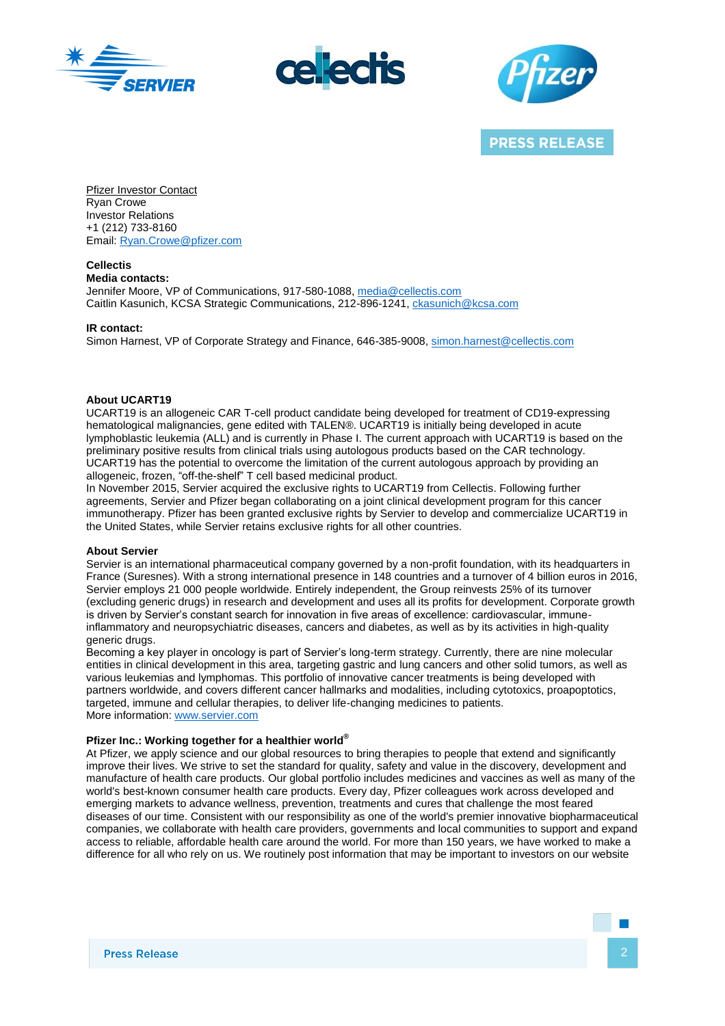





**PRESS RELEASE** 

Pfizer Investor Contact Ryan Crowe Investor Relations +1 (212) 733-8160 Email: [Ryan.Crowe@pfizer.com](mailto:Ryan.Crowe@pfizer.com)

**Cellectis Media contacts:** Jennifer Moore, VP of Communications, 917-580-1088[, media@cellectis.com](mailto:media@cellectis.com) Caitlin Kasunich, KCSA Strategic Communications, 212-896-1241[, ckasunich@kcsa.com](mailto:ckasunich@kcsa.com)

**IR contact:**

Simon Harnest, VP of Corporate Strategy and Finance, 646-385-9008, [simon.harnest@cellectis.com](mailto:simon.harnest@cellectis.com)

## **About UCART19**

UCART19 is an allogeneic CAR T-cell product candidate being developed for treatment of CD19-expressing hematological malignancies, gene edited with TALEN®. UCART19 is initially being developed in acute lymphoblastic leukemia (ALL) and is currently in Phase I. The current approach with UCART19 is based on the preliminary positive results from clinical trials using autologous products based on the CAR technology. UCART19 has the potential to overcome the limitation of the current autologous approach by providing an allogeneic, frozen, "off-the-shelf" T cell based medicinal product.

In November 2015, Servier acquired the exclusive rights to UCART19 from Cellectis. Following further agreements, Servier and Pfizer began collaborating on a joint clinical development program for this cancer immunotherapy. Pfizer has been granted exclusive rights by Servier to develop and commercialize UCART19 in the United States, while Servier retains exclusive rights for all other countries.

## **About Servier**

Servier is an international pharmaceutical company governed by a non-profit foundation, with its headquarters in France (Suresnes). With a strong international presence in 148 countries and a turnover of 4 billion euros in 2016, Servier employs 21 000 people worldwide. Entirely independent, the Group reinvests 25% of its turnover (excluding generic drugs) in research and development and uses all its profits for development. Corporate growth is driven by Servier's constant search for innovation in five areas of excellence: cardiovascular, immuneinflammatory and neuropsychiatric diseases, cancers and diabetes, as well as by its activities in high-quality generic drugs.

Becoming a key player in oncology is part of Servier's long-term strategy. Currently, there are nine molecular entities in clinical development in this area, targeting gastric and lung cancers and other solid tumors, as well as various leukemias and lymphomas. This portfolio of innovative cancer treatments is being developed with partners worldwide, and covers different cancer hallmarks and modalities, including cytotoxics, proapoptotics, targeted, immune and cellular therapies, to deliver life-changing medicines to patients. More information: [www.servier.com](http://www.servier.com/)

## **Pfizer Inc.: Working together for a healthier world®**

At Pfizer, we apply science and our global resources to bring therapies to people that extend and significantly improve their lives. We strive to set the standard for quality, safety and value in the discovery, development and manufacture of health care products. Our global portfolio includes medicines and vaccines as well as many of the world's best-known consumer health care products. Every day, Pfizer colleagues work across developed and emerging markets to advance wellness, prevention, treatments and cures that challenge the most feared diseases of our time. Consistent with our responsibility as one of the world's premier innovative biopharmaceutical companies, we collaborate with health care providers, governments and local communities to support and expand access to reliable, affordable health care around the world. For more than 150 years, we have worked to make a difference for all who rely on us. We routinely post information that may be important to investors on our website